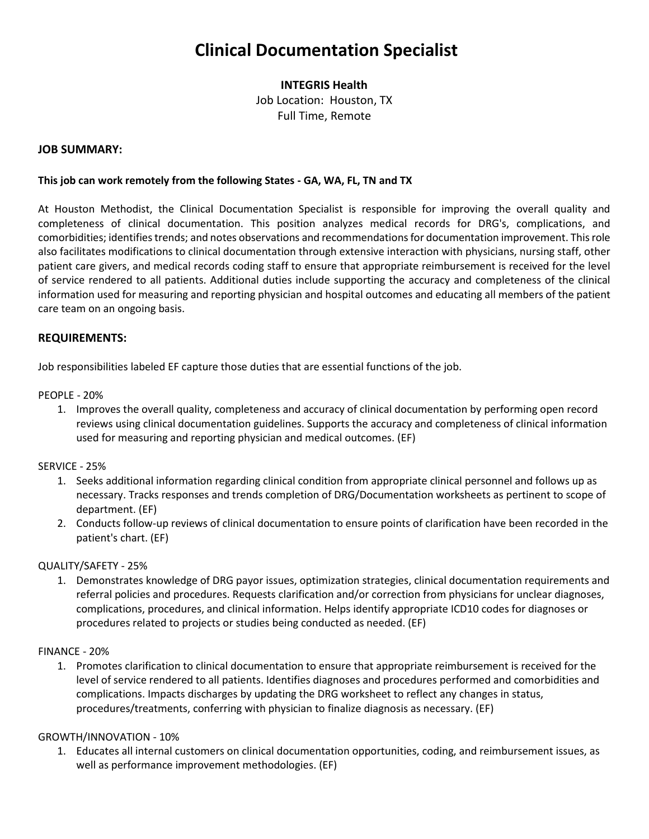# **Clinical Documentation Specialist**

# **INTEGRIS Health**

Job Location: Houston, TX Full Time, Remote

#### **JOB SUMMARY:**

#### **This job can work remotely from the following States - GA, WA, FL, TN and TX**

At Houston Methodist, the Clinical Documentation Specialist is responsible for improving the overall quality and completeness of clinical documentation. This position analyzes medical records for DRG's, complications, and comorbidities; identifies trends; and notes observations and recommendations for documentation improvement. This role also facilitates modifications to clinical documentation through extensive interaction with physicians, nursing staff, other patient care givers, and medical records coding staff to ensure that appropriate reimbursement is received for the level of service rendered to all patients. Additional duties include supporting the accuracy and completeness of the clinical information used for measuring and reporting physician and hospital outcomes and educating all members of the patient care team on an ongoing basis.

#### **REQUIREMENTS:**

Job responsibilities labeled EF capture those duties that are essential functions of the job.

PEOPLE - 20%

1. Improves the overall quality, completeness and accuracy of clinical documentation by performing open record reviews using clinical documentation guidelines. Supports the accuracy and completeness of clinical information used for measuring and reporting physician and medical outcomes. (EF)

#### SERVICE - 25%

- 1. Seeks additional information regarding clinical condition from appropriate clinical personnel and follows up as necessary. Tracks responses and trends completion of DRG/Documentation worksheets as pertinent to scope of department. (EF)
- 2. Conducts follow-up reviews of clinical documentation to ensure points of clarification have been recorded in the patient's chart. (EF)

## QUALITY/SAFETY - 25%

1. Demonstrates knowledge of DRG payor issues, optimization strategies, clinical documentation requirements and referral policies and procedures. Requests clarification and/or correction from physicians for unclear diagnoses, complications, procedures, and clinical information. Helps identify appropriate ICD10 codes for diagnoses or procedures related to projects or studies being conducted as needed. (EF)

#### FINANCE - 20%

1. Promotes clarification to clinical documentation to ensure that appropriate reimbursement is received for the level of service rendered to all patients. Identifies diagnoses and procedures performed and comorbidities and complications. Impacts discharges by updating the DRG worksheet to reflect any changes in status, procedures/treatments, conferring with physician to finalize diagnosis as necessary. (EF)

#### GROWTH/INNOVATION - 10%

1. Educates all internal customers on clinical documentation opportunities, coding, and reimbursement issues, as well as performance improvement methodologies. (EF)